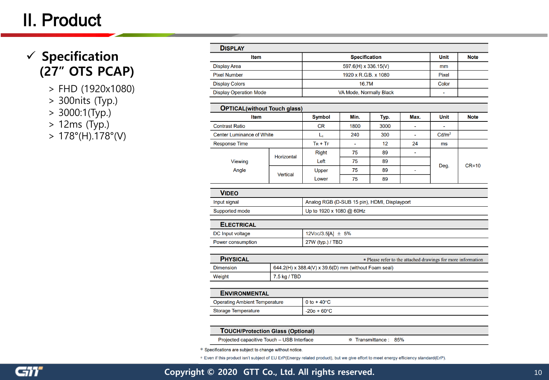## II. Product

## **Specification (27" OTS PCAP)**

- > FHD (1920x1080)
- > 300nits (Typ.)
- > 3000:1(Typ.)
- > 12ms (Typ.)
- $> 178^{\circ}$ (H).178°(V)

| <b>DISPLAY</b>                |                         |              |             |  |
|-------------------------------|-------------------------|--------------|-------------|--|
| Item                          | <b>Specification</b>    | Unit         | <b>Note</b> |  |
| <b>Display Area</b>           | 597.6(H) x 336.15(V)    | mm           |             |  |
| <b>Pixel Number</b>           | 1920 x R.G.B. x 1080    | <b>Pixel</b> |             |  |
| <b>Display Colors</b>         | 16.7M                   | Color        |             |  |
| <b>Display Operation Mode</b> | VA Mode, Normally Black |              |             |  |

| <b>OPTICAL</b> (without Touch glass)                        |                   |                |      |      |                          |                          |             |
|-------------------------------------------------------------|-------------------|----------------|------|------|--------------------------|--------------------------|-------------|
| <b>Item</b>                                                 |                   | Symbol         | Min. | Typ. | Max.                     | Unit                     | <b>Note</b> |
| <b>Contrast Ratio</b>                                       |                   | <b>CR</b>      | 1800 | 3000 | $\overline{\phantom{a}}$ | $\overline{\phantom{0}}$ |             |
| <b>Center Luminance of White</b>                            |                   | L <sub>c</sub> | 240  | 300  | ٠                        | Cd/m <sup>2</sup>        |             |
| <b>Response Time</b>                                        |                   | $Tr + Tr$      | ۰    | 12   | 24                       | ms                       |             |
| <b>Viewing</b><br>Angle                                     | <b>Horizontal</b> | <b>Right</b>   | 75   | 89   | $\overline{\phantom{a}}$ | Deg.                     | $CR=10$     |
|                                                             |                   | Left           | 75   | 89   |                          |                          |             |
|                                                             | Vertical          | Upper          | 75   | 89   |                          |                          |             |
|                                                             |                   | Lower          | 75   | 89   |                          |                          |             |
| $\bullet$ $\bullet$ $\bullet$ $\bullet$ $\bullet$ $\bullet$ |                   |                |      |      |                          |                          |             |

| .              |                                              |
|----------------|----------------------------------------------|
|                |                                              |
| Supported mode | Up to 1920 x 1080 @ 60Hz                     |
| Input signal   | Analog RGB (D-SUB 15 pin), HDMI, Displayport |
| <b>VIDEO</b>   |                                              |

| <b>ELECTRICAL</b> |                                    |
|-------------------|------------------------------------|
| DC Input voltage  | 12V <sub>DC</sub> /3.5[A] $\pm$ 5% |
| Power consumption | 27W (typ.) / TBD                   |

| <b>PHYSICAL</b> | * Please refer to the attached drawings for more information |
|-----------------|--------------------------------------------------------------|
| Dimension       | 644.2(H) x 388.4(V) x 39.6(D) mm (without Foam seal)         |
| Weight          | $7.5$ kg / TBD                                               |

| <b>ENVIRONMENTAL</b>                 |                        |
|--------------------------------------|------------------------|
| <b>Operating Ambient Temperature</b> | 0 to + 40 $^{\circ}$ C |
| <b>Storage Temperature</b>           | $-20$ o + 60°C         |

| <b>TOUCH/Protection Glass (Optional)</b>   |                       |  |
|--------------------------------------------|-----------------------|--|
| Projected capacitive Touch - USB Interface | ☀ Transmittance : 85% |  |

\* Specifications are subject to change without notice.

\* Even if this product isn't subject of EU ErP(Energy related product), but we give effort to meet energy efficiency standard(ErP).